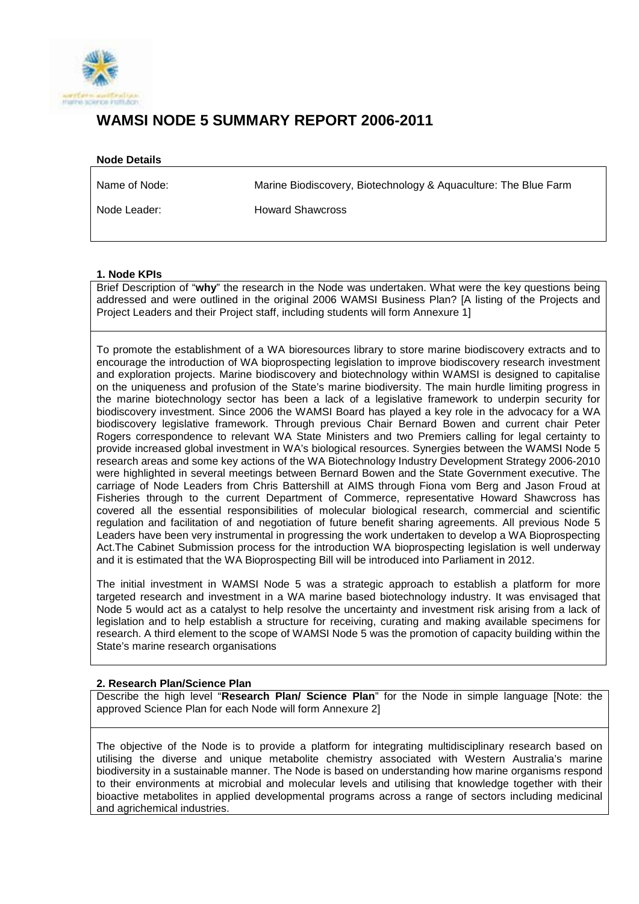

# **WAMSI NODE 5 SUMMARY REPORT 2006-2011**

#### **Node Details**

Marine Biodiscovery, Biotechnology & Aquaculture: The Blue Farm

Node Leader:

Name of Node:

Howard Shawcross

#### **1. Node KPIs**

Brief Description of "**why**" the research in the Node was undertaken. What were the key questions being addressed and were outlined in the original 2006 WAMSI Business Plan? [A listing of the Projects and Project Leaders and their Project staff, including students will form Annexure 1]

To promote the establishment of a WA bioresources library to store marine biodiscovery extracts and to encourage the introduction of WA bioprospecting legislation to improve biodiscovery research investment and exploration projects. Marine biodiscovery and biotechnology within WAMSI is designed to capitalise on the uniqueness and profusion of the State's marine biodiversity. The main hurdle limiting progress in the marine biotechnology sector has been a lack of a legislative framework to underpin security for biodiscovery investment. Since 2006 the WAMSI Board has played a key role in the advocacy for a WA biodiscovery legislative framework. Through previous Chair Bernard Bowen and current chair Peter Rogers correspondence to relevant WA State Ministers and two Premiers calling for legal certainty to provide increased global investment in WA's biological resources. Synergies between the WAMSI Node 5 research areas and some key actions of the WA Biotechnology Industry Development Strategy 2006-2010 were highlighted in several meetings between Bernard Bowen and the State Government executive. The carriage of Node Leaders from Chris Battershill at AIMS through Fiona vom Berg and Jason Froud at Fisheries through to the current Department of Commerce, representative Howard Shawcross has covered all the essential responsibilities of molecular biological research, commercial and scientific regulation and facilitation of and negotiation of future benefit sharing agreements. All previous Node 5 Leaders have been very instrumental in progressing the work undertaken to develop a WA Bioprospecting Act.The Cabinet Submission process for the introduction WA bioprospecting legislation is well underway and it is estimated that the WA Bioprospecting Bill will be introduced into Parliament in 2012.

The initial investment in WAMSI Node 5 was a strategic approach to establish a platform for more targeted research and investment in a WA marine based biotechnology industry. It was envisaged that Node 5 would act as a catalyst to help resolve the uncertainty and investment risk arising from a lack of legislation and to help establish a structure for receiving, curating and making available specimens for research. A third element to the scope of WAMSI Node 5 was the promotion of capacity building within the State's marine research organisations

## **2. Research Plan/Science Plan**

Describe the high level "**Research Plan/ Science Plan**" for the Node in simple language [Note: the approved Science Plan for each Node will form Annexure 2]

The objective of the Node is to provide a platform for integrating multidisciplinary research based on utilising the diverse and unique metabolite chemistry associated with Western Australia's marine biodiversity in a sustainable manner. The Node is based on understanding how marine organisms respond to their environments at microbial and molecular levels and utilising that knowledge together with their bioactive metabolites in applied developmental programs across a range of sectors including medicinal and agrichemical industries.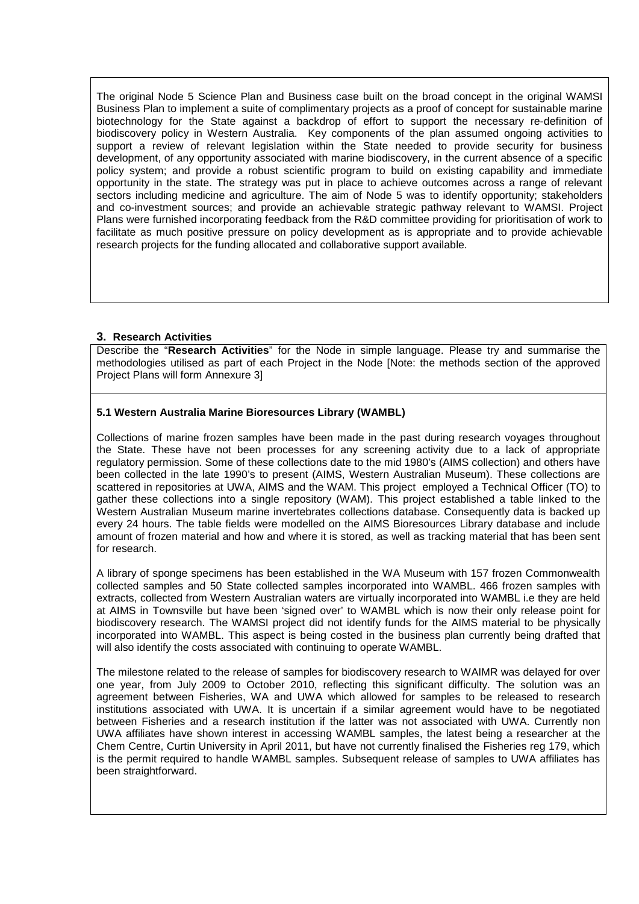The original Node 5 Science Plan and Business case built on the broad concept in the original WAMSI Business Plan to implement a suite of complimentary projects as a proof of concept for sustainable marine biotechnology for the State against a backdrop of effort to support the necessary re-definition of biodiscovery policy in Western Australia. Key components of the plan assumed ongoing activities to support a review of relevant legislation within the State needed to provide security for business development, of any opportunity associated with marine biodiscovery, in the current absence of a specific policy system; and provide a robust scientific program to build on existing capability and immediate opportunity in the state. The strategy was put in place to achieve outcomes across a range of relevant sectors including medicine and agriculture. The aim of Node 5 was to identify opportunity; stakeholders and co-investment sources; and provide an achievable strategic pathway relevant to WAMSI. Project Plans were furnished incorporating feedback from the R&D committee providing for prioritisation of work to facilitate as much positive pressure on policy development as is appropriate and to provide achievable research projects for the funding allocated and collaborative support available.

#### **3. Research Activities**

Describe the "**Research Activities**" for the Node in simple language. Please try and summarise the methodologies utilised as part of each Project in the Node [Note: the methods section of the approved Project Plans will form Annexure 3]

## **5.1 Western Australia Marine Bioresources Library (WAMBL)**

Collections of marine frozen samples have been made in the past during research voyages throughout the State. These have not been processes for any screening activity due to a lack of appropriate regulatory permission. Some of these collections date to the mid 1980's (AIMS collection) and others have been collected in the late 1990's to present (AIMS, Western Australian Museum). These collections are scattered in repositories at UWA, AIMS and the WAM. This project employed a Technical Officer (TO) to gather these collections into a single repository (WAM). This project established a table linked to the Western Australian Museum marine invertebrates collections database. Consequently data is backed up every 24 hours. The table fields were modelled on the AIMS Bioresources Library database and include amount of frozen material and how and where it is stored, as well as tracking material that has been sent for research.

A library of sponge specimens has been established in the WA Museum with 157 frozen Commonwealth collected samples and 50 State collected samples incorporated into WAMBL. 466 frozen samples with extracts, collected from Western Australian waters are virtually incorporated into WAMBL i.e they are held at AIMS in Townsville but have been 'signed over' to WAMBL which is now their only release point for biodiscovery research. The WAMSI project did not identify funds for the AIMS material to be physically incorporated into WAMBL. This aspect is being costed in the business plan currently being drafted that will also identify the costs associated with continuing to operate WAMBL.

The milestone related to the release of samples for biodiscovery research to WAIMR was delayed for over one year, from July 2009 to October 2010, reflecting this significant difficulty. The solution was an agreement between Fisheries, WA and UWA which allowed for samples to be released to research institutions associated with UWA. It is uncertain if a similar agreement would have to be negotiated between Fisheries and a research institution if the latter was not associated with UWA. Currently non UWA affiliates have shown interest in accessing WAMBL samples, the latest being a researcher at the Chem Centre, Curtin University in April 2011, but have not currently finalised the Fisheries reg 179, which is the permit required to handle WAMBL samples. Subsequent release of samples to UWA affiliates has been straightforward.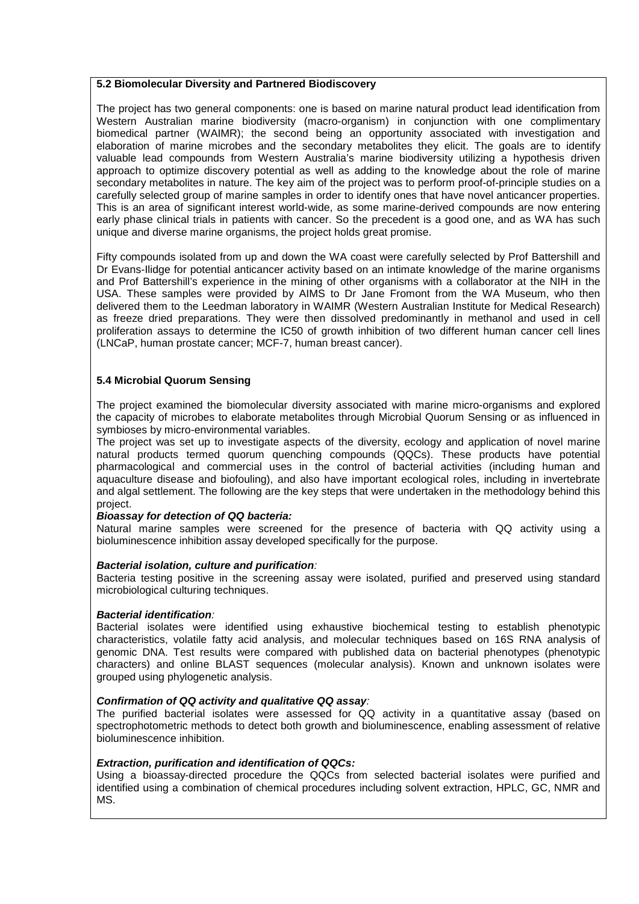#### **5.2 Biomolecular Diversity and Partnered Biodiscovery**

The project has two general components: one is based on marine natural product lead identification from Western Australian marine biodiversity (macro-organism) in conjunction with one complimentary biomedical partner (WAIMR); the second being an opportunity associated with investigation and elaboration of marine microbes and the secondary metabolites they elicit. The goals are to identify valuable lead compounds from Western Australia's marine biodiversity utilizing a hypothesis driven approach to optimize discovery potential as well as adding to the knowledge about the role of marine secondary metabolites in nature. The key aim of the project was to perform proof-of-principle studies on a carefully selected group of marine samples in order to identify ones that have novel anticancer properties. This is an area of significant interest world-wide, as some marine-derived compounds are now entering early phase clinical trials in patients with cancer. So the precedent is a good one, and as WA has such unique and diverse marine organisms, the project holds great promise.

Fifty compounds isolated from up and down the WA coast were carefully selected by Prof Battershill and Dr Evans-Ilidge for potential anticancer activity based on an intimate knowledge of the marine organisms and Prof Battershill's experience in the mining of other organisms with a collaborator at the NIH in the USA. These samples were provided by AIMS to Dr Jane Fromont from the WA Museum, who then delivered them to the Leedman laboratory in WAIMR (Western Australian Institute for Medical Research) as freeze dried preparations. They were then dissolved predominantly in methanol and used in cell proliferation assays to determine the IC50 of growth inhibition of two different human cancer cell lines (LNCaP, human prostate cancer; MCF-7, human breast cancer).

#### **5.4 Microbial Quorum Sensing**

The project examined the biomolecular diversity associated with marine micro-organisms and explored the capacity of microbes to elaborate metabolites through Microbial Quorum Sensing or as influenced in symbioses by micro-environmental variables.

The project was set up to investigate aspects of the diversity, ecology and application of novel marine natural products termed quorum quenching compounds (QQCs). These products have potential pharmacological and commercial uses in the control of bacterial activities (including human and aquaculture disease and biofouling), and also have important ecological roles, including in invertebrate and algal settlement. The following are the key steps that were undertaken in the methodology behind this project.

#### *Bioassay for detection of QQ bacteria:*

Natural marine samples were screened for the presence of bacteria with QQ activity using a bioluminescence inhibition assay developed specifically for the purpose.

#### *Bacterial isolation, culture and purification:*

Bacteria testing positive in the screening assay were isolated, purified and preserved using standard microbiological culturing techniques.

#### *Bacterial identification:*

Bacterial isolates were identified using exhaustive biochemical testing to establish phenotypic characteristics, volatile fatty acid analysis, and molecular techniques based on 16S RNA analysis of genomic DNA. Test results were compared with published data on bacterial phenotypes (phenotypic characters) and online BLAST sequences (molecular analysis). Known and unknown isolates were grouped using phylogenetic analysis.

#### *Confirmation of QQ activity and qualitative QQ assay:*

The purified bacterial isolates were assessed for QQ activity in a quantitative assay (based on spectrophotometric methods to detect both growth and bioluminescence, enabling assessment of relative bioluminescence inhibition.

#### *Extraction, purification and identification of QQCs:*

Using a bioassay-directed procedure the QQCs from selected bacterial isolates were purified and identified using a combination of chemical procedures including solvent extraction, HPLC, GC, NMR and MS.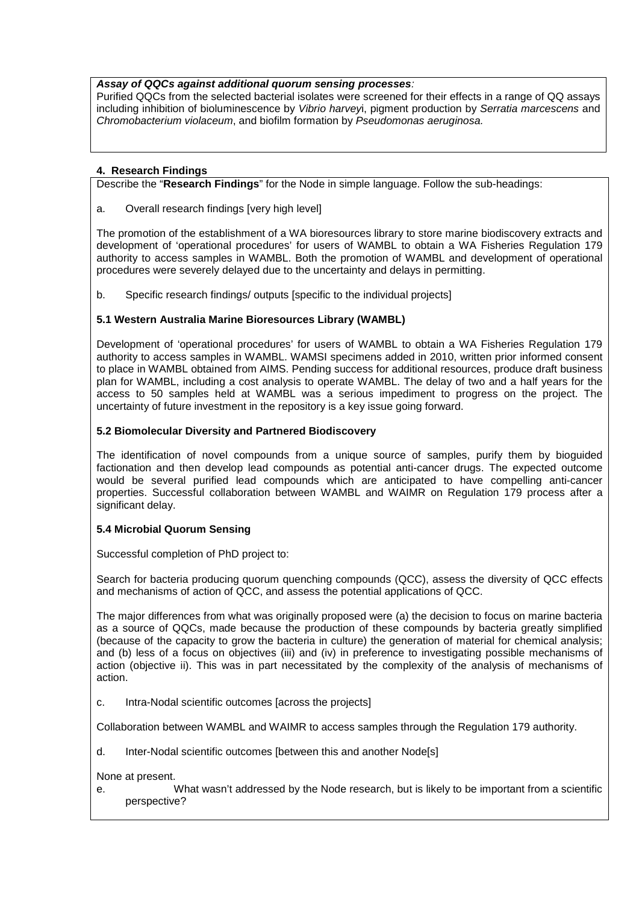## *Assay of QQCs against additional quorum sensing processes:*

Purified QQCs from the selected bacterial isolates were screened for their effects in a range of QQ assays including inhibition of bioluminescence by *Vibrio harvey*i, pigment production by *Serratia marcescens* and *Chromobacterium violaceum*, and biofilm formation by *Pseudomonas aeruginosa.*

# **4. Research Findings**

Describe the "**Research Findings**" for the Node in simple language. Follow the sub-headings:

a. Overall research findings [very high level]

The promotion of the establishment of a WA bioresources library to store marine biodiscovery extracts and development of 'operational procedures' for users of WAMBL to obtain a WA Fisheries Regulation 179 authority to access samples in WAMBL. Both the promotion of WAMBL and development of operational procedures were severely delayed due to the uncertainty and delays in permitting.

b. Specific research findings/ outputs [specific to the individual projects]

# **5.1 Western Australia Marine Bioresources Library (WAMBL)**

Development of 'operational procedures' for users of WAMBL to obtain a WA Fisheries Regulation 179 authority to access samples in WAMBL. WAMSI specimens added in 2010, written prior informed consent to place in WAMBL obtained from AIMS. Pending success for additional resources, produce draft business plan for WAMBL, including a cost analysis to operate WAMBL. The delay of two and a half years for the access to 50 samples held at WAMBL was a serious impediment to progress on the project. The uncertainty of future investment in the repository is a key issue going forward.

# **5.2 Biomolecular Diversity and Partnered Biodiscovery**

The identification of novel compounds from a unique source of samples, purify them by bioguided factionation and then develop lead compounds as potential anti-cancer drugs. The expected outcome would be several purified lead compounds which are anticipated to have compelling anti-cancer properties. Successful collaboration between WAMBL and WAIMR on Regulation 179 process after a significant delay.

## **5.4 Microbial Quorum Sensing**

Successful completion of PhD project to:

Search for bacteria producing quorum quenching compounds (QCC), assess the diversity of QCC effects and mechanisms of action of QCC, and assess the potential applications of QCC.

The major differences from what was originally proposed were (a) the decision to focus on marine bacteria as a source of QQCs, made because the production of these compounds by bacteria greatly simplified (because of the capacity to grow the bacteria in culture) the generation of material for chemical analysis; and (b) less of a focus on objectives (iii) and (iv) in preference to investigating possible mechanisms of action (objective ii). This was in part necessitated by the complexity of the analysis of mechanisms of action.

c. Intra-Nodal scientific outcomes [across the projects]

Collaboration between WAMBL and WAIMR to access samples through the Regulation 179 authority.

d. Inter-Nodal scientific outcomes [between this and another Node[s]

None at present.

e. What wasn't addressed by the Node research, but is likely to be important from a scientific perspective?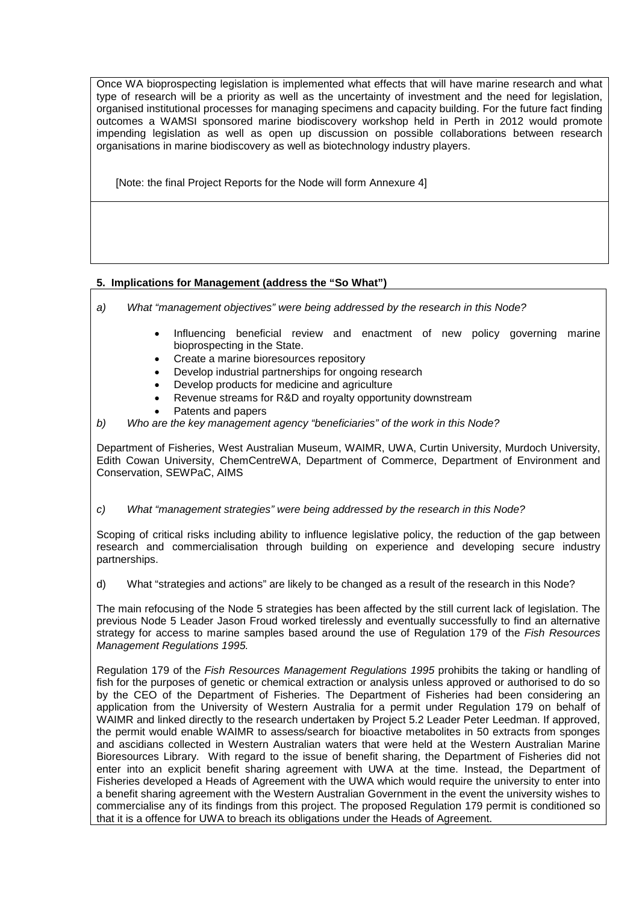Once WA bioprospecting legislation is implemented what effects that will have marine research and what type of research will be a priority as well as the uncertainty of investment and the need for legislation, organised institutional processes for managing specimens and capacity building. For the future fact finding outcomes a WAMSI sponsored marine biodiscovery workshop held in Perth in 2012 would promote impending legislation as well as open up discussion on possible collaborations between research organisations in marine biodiscovery as well as biotechnology industry players.

[Note: the final Project Reports for the Node will form Annexure 4]

# **5. Implications for Management (address the "So What")**

- *a) What "management objectives" were being addressed by the research in this Node?*
	- Influencing beneficial review and enactment of new policy governing marine bioprospecting in the State.
	- Create a marine bioresources repository
	- Develop industrial partnerships for ongoing research
	- Develop products for medicine and agriculture
	- Revenue streams for R&D and royalty opportunity downstream
	- Patents and papers
- *b) Who are the key management agency "beneficiaries" of the work in this Node?*

Department of Fisheries, West Australian Museum, WAIMR, UWA, Curtin University, Murdoch University, Edith Cowan University, ChemCentreWA, Department of Commerce, Department of Environment and Conservation, SEWPaC, AIMS

## *c) What "management strategies" were being addressed by the research in this Node?*

Scoping of critical risks including ability to influence legislative policy, the reduction of the gap between research and commercialisation through building on experience and developing secure industry partnerships.

d) What "strategies and actions" are likely to be changed as a result of the research in this Node?

The main refocusing of the Node 5 strategies has been affected by the still current lack of legislation. The previous Node 5 Leader Jason Froud worked tirelessly and eventually successfully to find an alternative strategy for access to marine samples based around the use of Regulation 179 of the *Fish Resources Management Regulations 1995.*

Regulation 179 of the *Fish Resources Management Regulations 1995* prohibits the taking or handling of fish for the purposes of genetic or chemical extraction or analysis unless approved or authorised to do so by the CEO of the Department of Fisheries. The Department of Fisheries had been considering an application from the University of Western Australia for a permit under Regulation 179 on behalf of WAIMR and linked directly to the research undertaken by Project 5.2 Leader Peter Leedman. If approved, the permit would enable WAIMR to assess/search for bioactive metabolites in 50 extracts from sponges and ascidians collected in Western Australian waters that were held at the Western Australian Marine Bioresources Library. With regard to the issue of benefit sharing, the Department of Fisheries did not enter into an explicit benefit sharing agreement with UWA at the time. Instead, the Department of Fisheries developed a Heads of Agreement with the UWA which would require the university to enter into a benefit sharing agreement with the Western Australian Government in the event the university wishes to commercialise any of its findings from this project. The proposed Regulation 179 permit is conditioned so that it is a offence for UWA to breach its obligations under the Heads of Agreement.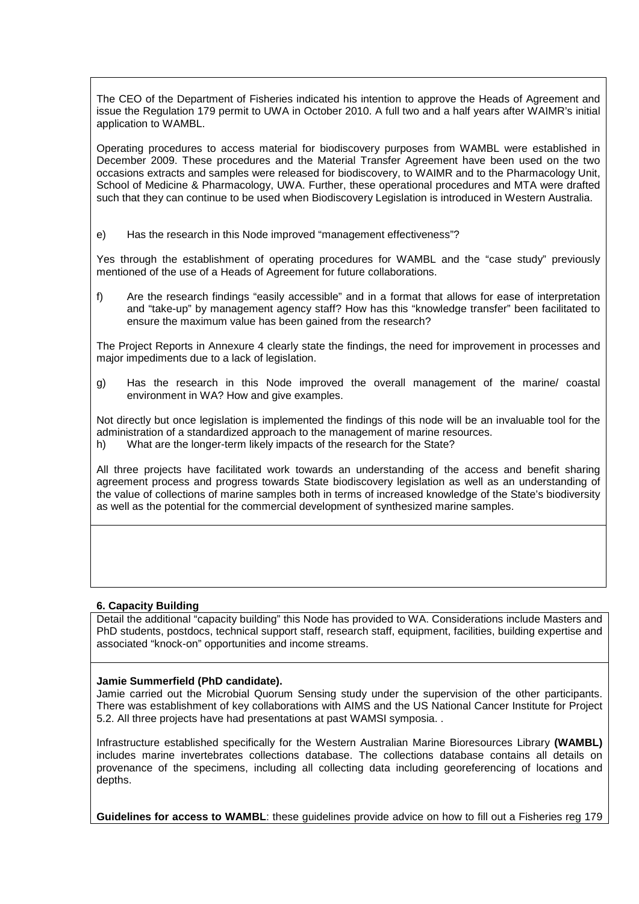The CEO of the Department of Fisheries indicated his intention to approve the Heads of Agreement and issue the Regulation 179 permit to UWA in October 2010. A full two and a half years after WAIMR's initial application to WAMBL.

Operating procedures to access material for biodiscovery purposes from WAMBL were established in December 2009. These procedures and the Material Transfer Agreement have been used on the two occasions extracts and samples were released for biodiscovery, to WAIMR and to the Pharmacology Unit, School of Medicine & Pharmacology, UWA. Further, these operational procedures and MTA were drafted such that they can continue to be used when Biodiscovery Legislation is introduced in Western Australia.

e) Has the research in this Node improved "management effectiveness"?

Yes through the establishment of operating procedures for WAMBL and the "case study" previously mentioned of the use of a Heads of Agreement for future collaborations.

f) Are the research findings "easily accessible" and in a format that allows for ease of interpretation and "take-up" by management agency staff? How has this "knowledge transfer" been facilitated to ensure the maximum value has been gained from the research?

The Project Reports in Annexure 4 clearly state the findings, the need for improvement in processes and major impediments due to a lack of legislation.

g) Has the research in this Node improved the overall management of the marine/ coastal environment in WA? How and give examples.

Not directly but once legislation is implemented the findings of this node will be an invaluable tool for the administration of a standardized approach to the management of marine resources. h) What are the longer-term likely impacts of the research for the State?

All three projects have facilitated work towards an understanding of the access and benefit sharing agreement process and progress towards State biodiscovery legislation as well as an understanding of the value of collections of marine samples both in terms of increased knowledge of the State's biodiversity as well as the potential for the commercial development of synthesized marine samples.

## **6. Capacity Building**

Detail the additional "capacity building" this Node has provided to WA. Considerations include Masters and PhD students, postdocs, technical support staff, research staff, equipment, facilities, building expertise and associated "knock-on" opportunities and income streams.

## **Jamie Summerfield (PhD candidate).**

Jamie carried out the Microbial Quorum Sensing study under the supervision of the other participants. There was establishment of key collaborations with AIMS and the US National Cancer Institute for Project 5.2. All three projects have had presentations at past WAMSI symposia. .

Infrastructure established specifically for the Western Australian Marine Bioresources Library **(WAMBL)** includes marine invertebrates collections database. The collections database contains all details on provenance of the specimens, including all collecting data including georeferencing of locations and depths.

**Guidelines for access to WAMBL**: these guidelines provide advice on how to fill out a Fisheries reg 179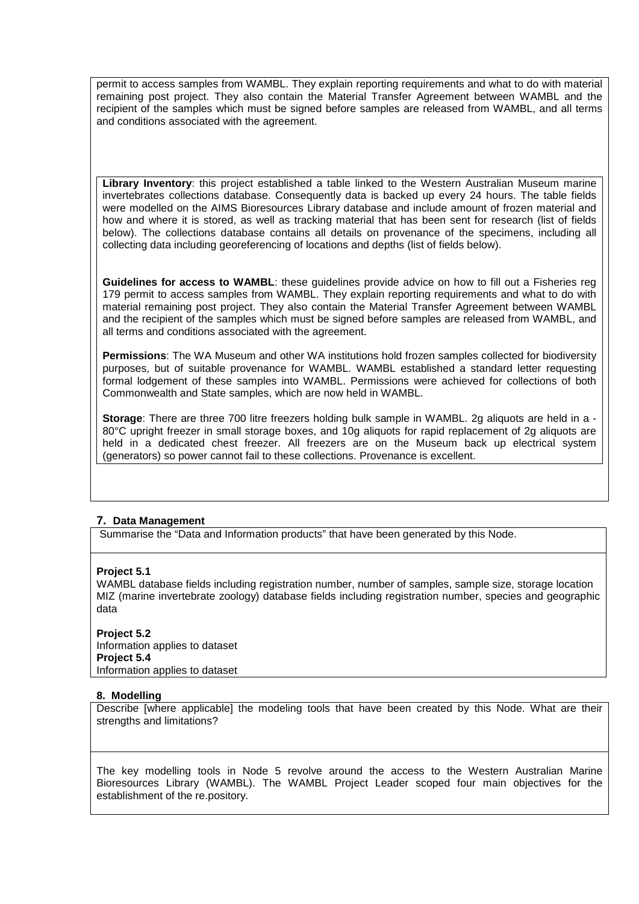permit to access samples from WAMBL. They explain reporting requirements and what to do with material remaining post project. They also contain the Material Transfer Agreement between WAMBL and the recipient of the samples which must be signed before samples are released from WAMBL, and all terms and conditions associated with the agreement.

**Library Inventory**: this project established a table linked to the Western Australian Museum marine invertebrates collections database. Consequently data is backed up every 24 hours. The table fields were modelled on the AIMS Bioresources Library database and include amount of frozen material and how and where it is stored, as well as tracking material that has been sent for research (list of fields below). The collections database contains all details on provenance of the specimens, including all collecting data including georeferencing of locations and depths (list of fields below).

**Guidelines for access to WAMBL**: these guidelines provide advice on how to fill out a Fisheries reg 179 permit to access samples from WAMBL. They explain reporting requirements and what to do with material remaining post project. They also contain the Material Transfer Agreement between WAMBL and the recipient of the samples which must be signed before samples are released from WAMBL, and all terms and conditions associated with the agreement.

**Permissions**: The WA Museum and other WA institutions hold frozen samples collected for biodiversity purposes, but of suitable provenance for WAMBL. WAMBL established a standard letter requesting formal lodgement of these samples into WAMBL. Permissions were achieved for collections of both Commonwealth and State samples, which are now held in WAMBL.

**Storage**: There are three 700 litre freezers holding bulk sample in WAMBL. 2g aliquots are held in a - 80°C upright freezer in small storage boxes, and 10g aliquots for rapid replacement of 2g aliquots are held in a dedicated chest freezer. All freezers are on the Museum back up electrical system (generators) so power cannot fail to these collections. Provenance is excellent.

## **7. Data Management**

Summarise the "Data and Information products" that have been generated by this Node.

## **Project 5.1**

WAMBL database fields including registration number, number of samples, sample size, storage location MIZ (marine invertebrate zoology) database fields including registration number, species and geographic data

**Project 5.2** Information applies to dataset **Project 5.4** Information applies to dataset

## **8. Modelling**

Describe [where applicable] the modeling tools that have been created by this Node. What are their strengths and limitations?

The key modelling tools in Node 5 revolve around the access to the Western Australian Marine Bioresources Library (WAMBL). The WAMBL Project Leader scoped four main objectives for the establishment of the re.pository.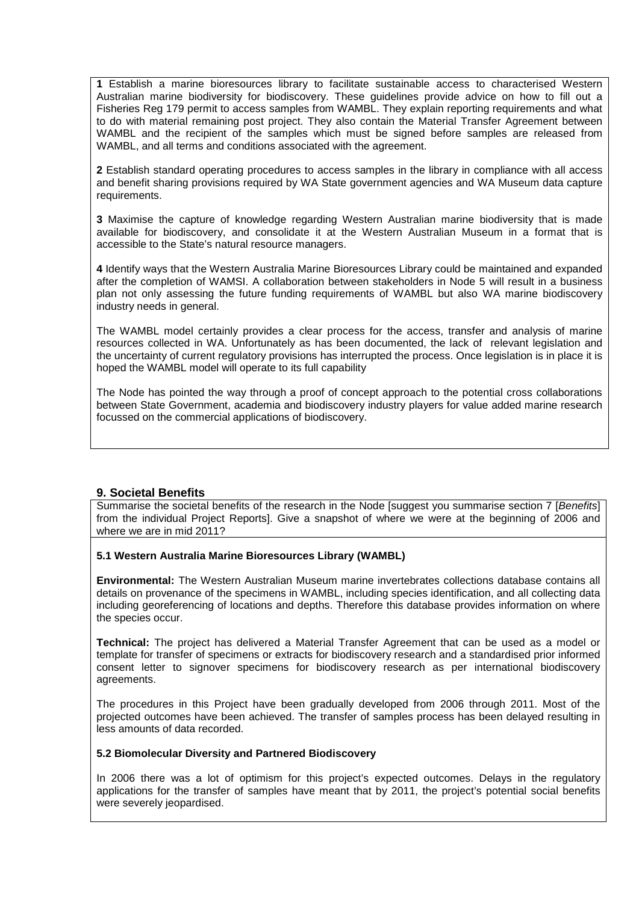**1** Establish a marine bioresources library to facilitate sustainable access to characterised Western Australian marine biodiversity for biodiscovery. These guidelines provide advice on how to fill out a Fisheries Reg 179 permit to access samples from WAMBL. They explain reporting requirements and what to do with material remaining post project. They also contain the Material Transfer Agreement between WAMBL and the recipient of the samples which must be signed before samples are released from WAMBL, and all terms and conditions associated with the agreement.

**2** Establish standard operating procedures to access samples in the library in compliance with all access and benefit sharing provisions required by WA State government agencies and WA Museum data capture requirements.

**3** Maximise the capture of knowledge regarding Western Australian marine biodiversity that is made available for biodiscovery, and consolidate it at the Western Australian Museum in a format that is accessible to the State's natural resource managers.

**4** Identify ways that the Western Australia Marine Bioresources Library could be maintained and expanded after the completion of WAMSI. A collaboration between stakeholders in Node 5 will result in a business plan not only assessing the future funding requirements of WAMBL but also WA marine biodiscovery industry needs in general.

The WAMBL model certainly provides a clear process for the access, transfer and analysis of marine resources collected in WA. Unfortunately as has been documented, the lack of relevant legislation and the uncertainty of current regulatory provisions has interrupted the process. Once legislation is in place it is hoped the WAMBL model will operate to its full capability

The Node has pointed the way through a proof of concept approach to the potential cross collaborations between State Government, academia and biodiscovery industry players for value added marine research focussed on the commercial applications of biodiscovery.

## **9. Societal Benefits**

Summarise the societal benefits of the research in the Node [suggest you summarise section 7 [*Benefits*] from the individual Project Reports]. Give a snapshot of where we were at the beginning of 2006 and where we are in mid 2011?

## **5.1 Western Australia Marine Bioresources Library (WAMBL)**

**Environmental:** The Western Australian Museum marine invertebrates collections database contains all details on provenance of the specimens in WAMBL, including species identification, and all collecting data including georeferencing of locations and depths. Therefore this database provides information on where the species occur.

**Technical:** The project has delivered a Material Transfer Agreement that can be used as a model or template for transfer of specimens or extracts for biodiscovery research and a standardised prior informed consent letter to signover specimens for biodiscovery research as per international biodiscovery agreements.

The procedures in this Project have been gradually developed from 2006 through 2011. Most of the projected outcomes have been achieved. The transfer of samples process has been delayed resulting in less amounts of data recorded.

#### **5.2 Biomolecular Diversity and Partnered Biodiscovery**

In 2006 there was a lot of optimism for this project's expected outcomes. Delays in the regulatory applications for the transfer of samples have meant that by 2011, the project's potential social benefits were severely jeopardised.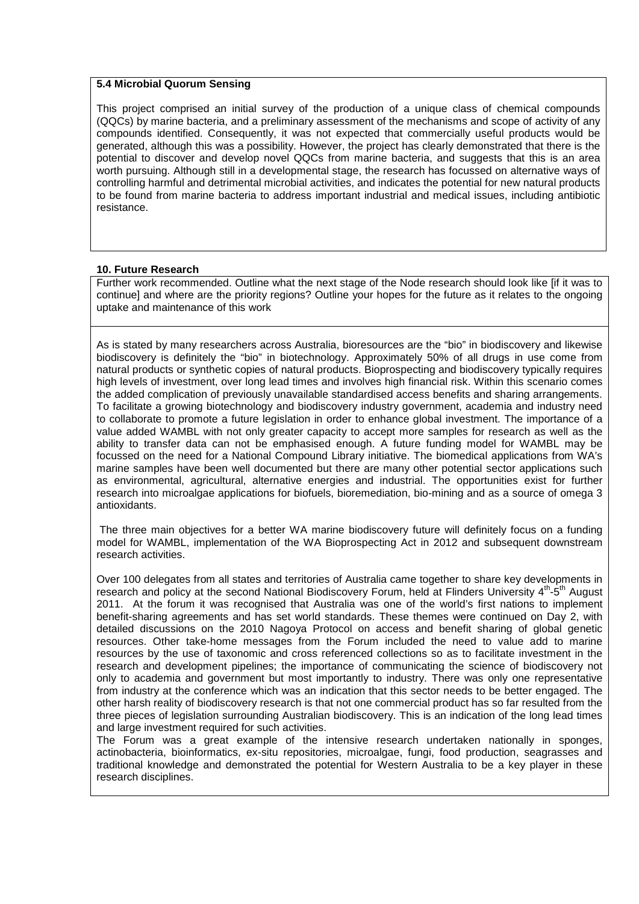#### **5.4 Microbial Quorum Sensing**

This project comprised an initial survey of the production of a unique class of chemical compounds (QQCs) by marine bacteria, and a preliminary assessment of the mechanisms and scope of activity of any compounds identified. Consequently, it was not expected that commercially useful products would be generated, although this was a possibility. However, the project has clearly demonstrated that there is the potential to discover and develop novel QQCs from marine bacteria, and suggests that this is an area worth pursuing. Although still in a developmental stage, the research has focussed on alternative ways of controlling harmful and detrimental microbial activities, and indicates the potential for new natural products to be found from marine bacteria to address important industrial and medical issues, including antibiotic resistance.

#### **10. Future Research**

Further work recommended. Outline what the next stage of the Node research should look like [if it was to continue] and where are the priority regions? Outline your hopes for the future as it relates to the ongoing uptake and maintenance of this work

As is stated by many researchers across Australia, bioresources are the "bio" in biodiscovery and likewise biodiscovery is definitely the "bio" in biotechnology. Approximately 50% of all drugs in use come from natural products or synthetic copies of natural products. Bioprospecting and biodiscovery typically requires high levels of investment, over long lead times and involves high financial risk. Within this scenario comes the added complication of previously unavailable standardised access benefits and sharing arrangements. To facilitate a growing biotechnology and biodiscovery industry government, academia and industry need to collaborate to promote a future legislation in order to enhance global investment. The importance of a value added WAMBL with not only greater capacity to accept more samples for research as well as the ability to transfer data can not be emphasised enough. A future funding model for WAMBL may be focussed on the need for a National Compound Library initiative. The biomedical applications from WA's marine samples have been well documented but there are many other potential sector applications such as environmental, agricultural, alternative energies and industrial. The opportunities exist for further research into microalgae applications for biofuels, bioremediation, bio-mining and as a source of omega 3 antioxidants.

The three main objectives for a better WA marine biodiscovery future will definitely focus on a funding model for WAMBL, implementation of the WA Bioprospecting Act in 2012 and subsequent downstream research activities.

Over 100 delegates from all states and territories of Australia came together to share key developments in research and policy at the second National Biodiscovery Forum, held at Flinders University 4<sup>th</sup>-5<sup>th</sup> August 2011. At the forum it was recognised that Australia was one of the world's first nations to implement benefit-sharing agreements and has set world standards. These themes were continued on Day 2, with detailed discussions on the 2010 Nagoya Protocol on access and benefit sharing of global genetic resources. Other take-home messages from the Forum included the need to value add to marine resources by the use of taxonomic and cross referenced collections so as to facilitate investment in the research and development pipelines; the importance of communicating the science of biodiscovery not only to academia and government but most importantly to industry. There was only one representative from industry at the conference which was an indication that this sector needs to be better engaged. The other harsh reality of biodiscovery research is that not one commercial product has so far resulted from the three pieces of legislation surrounding Australian biodiscovery. This is an indication of the long lead times and large investment required for such activities.

The Forum was a great example of the intensive research undertaken nationally in sponges, actinobacteria, bioinformatics, ex-situ repositories, microalgae, fungi, food production, seagrasses and traditional knowledge and demonstrated the potential for Western Australia to be a key player in these research disciplines.